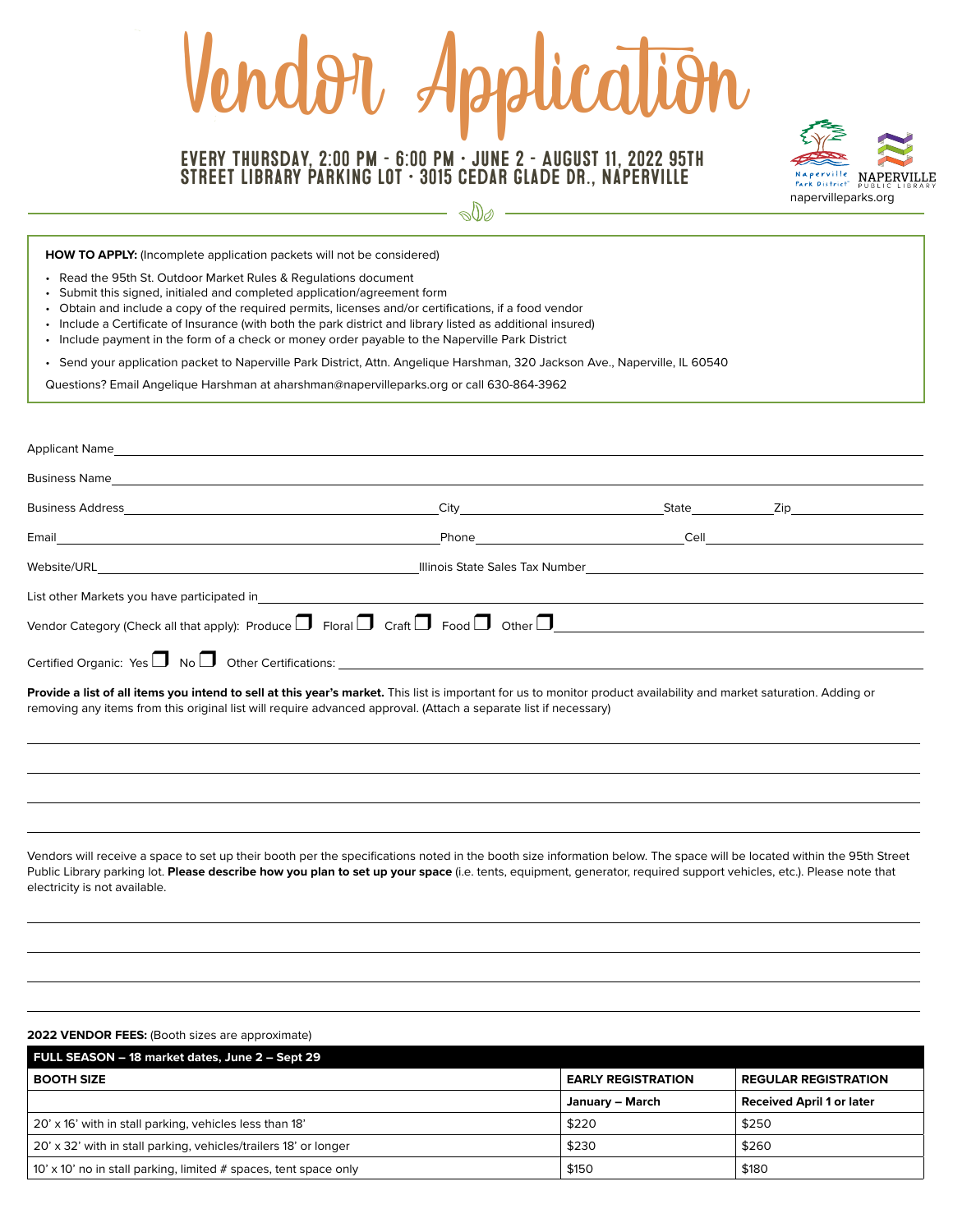# rt Application

# Every Thursday, 2:00 pm – 6:00 pm • June 2 – August 11, 2022 95th Street Library Parking Lot • 3015 Cedar Glade Dr., Naperville



 $\circ$  00  $-$ 

**HOW TO APPLY:** (Incomplete application packets will not be considered)

- Read the 95th St. Outdoor Market Rules & Regulations document
- Submit this signed, initialed and completed application/agreement form
- Obtain and include a copy of the required permits, licenses and/or certifications, if a food vendor
- Include a Certificate of Insurance (with both the park district and library listed as additional insured)
- Include payment in the form of a check or money order payable to the Naperville Park District

• Send your application packet to Naperville Park District, Attn. Angelique Harshman, 320 Jackson Ave., Naperville, IL 60540

Questions? Email Angelique Harshman at [aharshman@napervilleparks.org](mailto:aharshman@napervilleparks.org) or call 630-864-3962

| Applicant Name and the contract of the contract of the contract of the contract of the contract of the contract of the contract of the contract of the contract of the contract of the contract of the contract of the contrac                                                           |                                         |  |                      |  |
|------------------------------------------------------------------------------------------------------------------------------------------------------------------------------------------------------------------------------------------------------------------------------------------|-----------------------------------------|--|----------------------|--|
| Business Name and the contract of the contract of the contract of the contract of the contract of the contract of the contract of the contract of the contract of the contract of the contract of the contract of the contract                                                           |                                         |  |                      |  |
|                                                                                                                                                                                                                                                                                          | City <b>Community</b>                   |  | State <b>Zip Zip</b> |  |
|                                                                                                                                                                                                                                                                                          | Phone <b>Cell</b> Cell <b>Cell Cell</b> |  |                      |  |
|                                                                                                                                                                                                                                                                                          |                                         |  |                      |  |
| List other Markets you have participated in                                                                                                                                                                                                                                              |                                         |  |                      |  |
|                                                                                                                                                                                                                                                                                          |                                         |  |                      |  |
| Certified Organic: Yes $\Box$ No $\Box$ Other Certifications: $\Box$                                                                                                                                                                                                                     |                                         |  |                      |  |
| Provide a list of all items you intend to sell at this year's market. This list is important for us to monitor product availability and market saturation. Adding or<br>removing any items from this original list will require advanced approval. (Attach a separate list if necessary) |                                         |  |                      |  |

Vendors will receive a space to set up their booth per the specifications noted in the booth size information below. The space will be located within the 95th Street Public Library parking lot. Please describe how you plan to set up your space (i.e. tents, equipment, generator, required support vehicles, etc.). Please note that electricity is not available.

### **2022 VENDOR FEES:** (Booth sizes are approximate)

| FULL SEASON - 18 market dates, June 2 - Sept 29                    |                           |                                  |  |
|--------------------------------------------------------------------|---------------------------|----------------------------------|--|
| <b>BOOTH SIZE</b>                                                  | <b>EARLY REGISTRATION</b> | <b>REGULAR REGISTRATION</b>      |  |
|                                                                    | January - March           | <b>Received April 1 or later</b> |  |
| 20' x 16' with in stall parking, vehicles less than 18'            | \$220                     | \$250                            |  |
| 20' x 32' with in stall parking, vehicles/trailers 18' or longer   | \$230                     | \$260                            |  |
| 10' x 10' no in stall parking, limited $#$ spaces, tent space only | \$150                     | \$180                            |  |